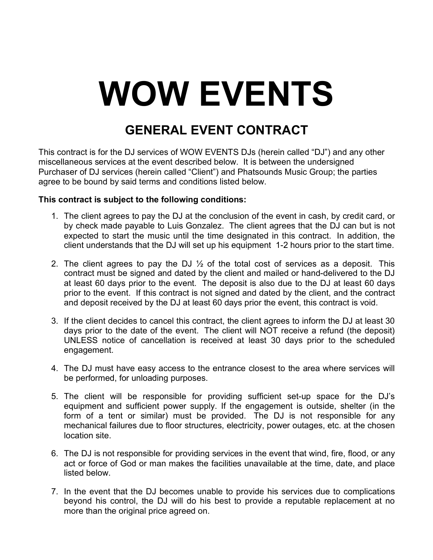## **WOW EVENTS**

## **GENERAL EVENT CONTRACT**

This contract is for the DJ services of WOW EVENTS DJs (herein called "DJ") and any other miscellaneous services at the event described below. It is between the undersigned Purchaser of DJ services (herein called "Client") and Phatsounds Music Group; the parties agree to be bound by said terms and conditions listed below.

## **This contract is subject to the following conditions:**

- 1. The client agrees to pay the DJ at the conclusion of the event in cash, by credit card, or by check made payable to Luis Gonzalez. The client agrees that the DJ can but is not expected to start the music until the time designated in this contract. In addition, the client understands that the DJ will set up his equipment 1-2 hours prior to the start time.
- 2. The client agrees to pay the DJ  $\frac{1}{2}$  of the total cost of services as a deposit. This contract must be signed and dated by the client and mailed or hand-delivered to the DJ at least 60 days prior to the event. The deposit is also due to the DJ at least 60 days prior to the event. If this contract is not signed and dated by the client, and the contract and deposit received by the DJ at least 60 days prior the event, this contract is void.
- 3. If the client decides to cancel this contract, the client agrees to inform the DJ at least 30 days prior to the date of the event. The client will NOT receive a refund (the deposit) UNLESS notice of cancellation is received at least 30 days prior to the scheduled engagement.
- 4. The DJ must have easy access to the entrance closest to the area where services will be performed, for unloading purposes.
- 5. The client will be responsible for providing sufficient set-up space for the DJ's equipment and sufficient power supply. If the engagement is outside, shelter (in the form of a tent or similar) must be provided. The DJ is not responsible for any mechanical failures due to floor structures, electricity, power outages, etc. at the chosen location site.
- 6. The DJ is not responsible for providing services in the event that wind, fire, flood, or any act or force of God or man makes the facilities unavailable at the time, date, and place listed below.
- 7. In the event that the DJ becomes unable to provide his services due to complications beyond his control, the DJ will do his best to provide a reputable replacement at no more than the original price agreed on.